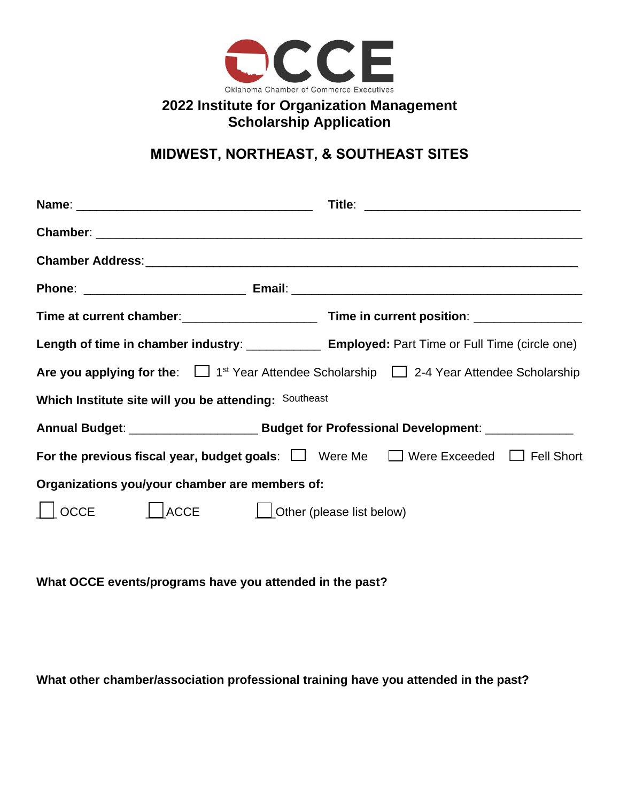

## **2022 Institute for Organization Management Scholarship Application**

# **MIDWEST, NORTHEAST, & SOUTHEAST SITES**

| Length of time in chamber industry: _______________ Employed: Part Time or Full Time (circle one)               |  |
|-----------------------------------------------------------------------------------------------------------------|--|
| Are you applying for the: $\Box$ 1 <sup>st</sup> Year Attendee Scholarship $\Box$ 2-4 Year Attendee Scholarship |  |
| Which Institute site will you be attending: Southeast                                                           |  |
|                                                                                                                 |  |
| For the previous fiscal year, budget goals: $\Box$ Were Me $\Box$ Were Exceeded $\Box$ Fell Short               |  |
| Organizations you/your chamber are members of:                                                                  |  |
| ACCE <i>U</i> Other (please list below)<br><b>OCCE</b>                                                          |  |

**What OCCE events/programs have you attended in the past?** 

**What other chamber/association professional training have you attended in the past?**